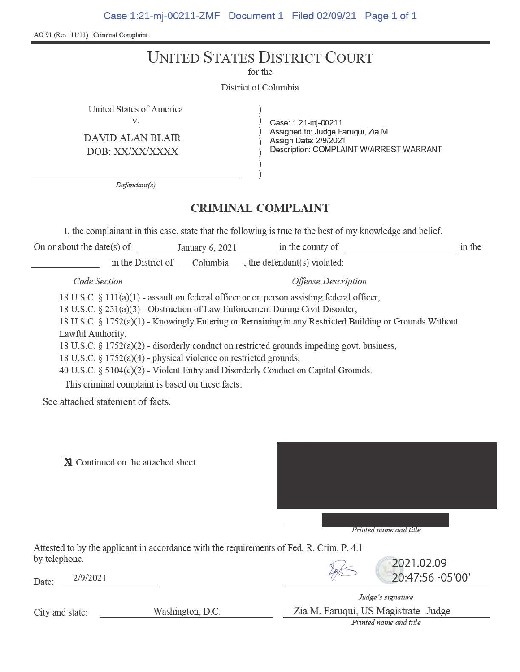Case 1:21-mj-00211-ZMF Document 1 Filed 02/09/21 Page 1 of 1

AO 91 (Rev. 11/11) Criminal Complaint

## UNITED STATES DISTRICT COURT

for the

District of Columbia

United States of America

DAVID ALAN BLAIR

V. Case: 1:21-mj-00211 ) Assigned to: Judge Faruqui, Zia M DOB: XX/XX/XXXX 

Description: COMPLAINT W/ARREST WARRANT

*Defendant(s)* 

## **CRIMINAL COMPLAINT**

) )

I, the complainant in this case, state that the following is true to the best of my knowledge and belief.

On or about the date(s) of January 6, 2021 in the county of  $\qquad$  in the in the District of Columbia , the defendant(s) violated:

*Code Section Offense Description* 

18 U.S.C. § 11 l(a)(l) - assault on federal officer or on person assisting federal officer,

18 U.S.C. § 231(a)(3) - Obstruction of Law Enforcement During Civil Disorder,

18 U.S.C. § 1752(a)(1) - Knowingly Entering or Remaining in any Restricted Building or Grounds Without Lawful Authority,

18 U.S.C. § 1752(a)(2) - disorderly conduct on restricted grounds impeding govt. business,

18 U.S.C.  $\S 1752(a)(4)$  - physical violence on restricted grounds,

40 U.S.C. § 5104(e)(2) - Violent Entry and Disorderly Conduct on Capitol Grounds.

This criminal complaint is based on these facts:

See attached statement of facts.

**N** Continued on the attached sheet.



Printed name and title

Attested to by the applicant in accordance with the requirements of Fed. R. Crim. P. 4.1 by telephone.  $\sqrt{2}$  [2021.02.09](https://2021.02.09)

Date:  $2/9/2021$  20:47:56 -05'00'



*Judge's signature*  City and state: Washington, D.C. Zia M. Famqui, US Magistrate Judge *Printed name and title*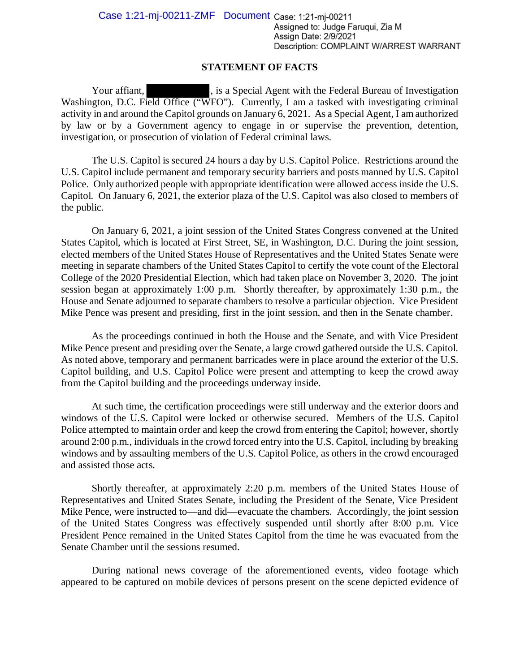## **STATEMENT OF FACTS**

Your affiant,  $\qquad \qquad$ , is a Special Agent with the Federal Bureau of Investigation Washington, D.C. Field Office ("WFO"). Currently, I am a tasked with investigating criminal activity in and around the Capitol grounds on January 6, 2021. As a Special Agent, I am authorized by law or by a Government agency to engage in or supervise the prevention, detention, investigation, or prosecution of violation of Federal criminal laws.

The U.S. Capitol is secured 24 hours a day by U.S. Capitol Police. Restrictions around the U.S. Capitol include permanent and temporary security barriers and posts manned by U.S. Capitol Police. Only authorized people with appropriate identification were allowed access inside the U.S. Capitol. On January 6, 2021, the exterior plaza of the U.S. Capitol was also closed to members of the public.

On January 6, 2021, a joint session of the United States Congress convened at the United States Capitol, which is located at First Street, SE, in Washington, D.C. During the joint session, elected members of the United States House of Representatives and the United States Senate were meeting in separate chambers of the United States Capitol to certify the vote count of the Electoral College of the 2020 Presidential Election, which had taken place on November 3, 2020. The joint session began at approximately 1:00 p.m. Shortly thereafter, by approximately 1:30 p.m., the House and Senate adjourned to separate chambers to resolve a particular objection. Vice President Mike Pence was present and presiding, first in the joint session, and then in the Senate chamber.

ence was present and presiding, first in the joint session, and then in the Senate chamber.<br>As the proceedings continued in both the House and the Senate, and with Vice President Mike Pence present and presiding over the Senate, a large crowd gathered outside the U.S. Capitol. As noted above, temporary and permanent barricades were in place around the exterior of the U.S. Capitol building, and U.S. Capitol Police were present and attempting to keep the crowd away from the Capitol building and the proceedings underway inside.

At such time, the certification proceedings were still underway and the exterior doors and windows of the U.S. Capitol were locked or otherwise secured. Members of the U.S. Capitol Police attempted to maintain order and keep the crowd from entering the Capitol; however, shortly around 2:00 p.m., individuals in the crowd forced entry into the U.S. Capitol, including by breaking windows and by assaulting members of the U.S. Capitol Police, as others in the crowd encouraged and assisted those acts.

Shortly thereafter, at approximately 2:20 p.m. members of the United States House of Representatives and United States Senate, including the President of the Senate, Vice President Mike Pence, were instructed to—and did—evacuate the chambers. Accordingly, the joint session of the United States Congress was effectively suspended until shortly after 8:00 p.m. Vice President Pence remained in the United States Capitol from the time he was evacuated from the Senate Chamber until the sessions resumed.

During national news coverage of the aforementioned events, video footage which appeared to be captured on mobile devices of persons present on the scene depicted evidence of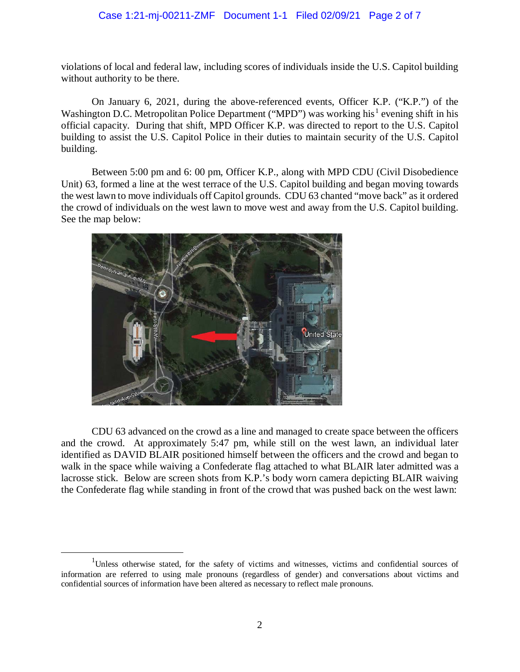## Case 1:21-mj-00211-ZMF Document 1-1 Filed 02/09/21 Page 2 of 7

violations of local and federal law, including scores of individuals inside the U.S. Capitol building without authority to be there.

 official capacity. During that shift, MPD Officer K.P. was directed to report to the U.S. Capitol building to assist the U.S. Capitol Police in their duties to maintain security of the U.S. Capitol On January 6, 2021, during the above-referenced events, Officer K.P. ("K.P.") of the Washington D.C. Metropolitan Police Department ("MPD") was working his<sup>1</sup> evening shift in his building.

 Unit) 63, formed a line at the west terrace of the U.S. Capitol building and began moving towards the west lawn to move individuals off Capitol grounds. CDU 63 chanted "move back" as it ordered the crowd of individuals on the west lawn to move west and away from the U.S. Capitol building. Between 5:00 pm and 6: 00 pm, Officer K.P., along with MPD CDU (Civil Disobedience See the map below:



 $\overline{a}$ 

 CDU 63 advanced on the crowd as a line and managed to create space between the officers and the crowd. At approximately 5:47 pm, while still on the west lawn, an individual later identified as DAVID BLAIR positioned himself between the officers and the crowd and began to lacrosse stick. Below are screen shots from K.P.'s body worn camera depicting BLAIR waiving the Confederate flag while standing in front of the crowd that was pushed back on the west lawn: walk in the space while waiving a Confederate flag attached to what BLAIR later admitted was a

 confidential sources of information have been altered as necessary to reflect male pronouns. <sup>1</sup>Unless otherwise stated, for the safety of victims and witnesses, victims and confidential sources of information are referred to using male pronouns (regardless of gender) and conversations about victims and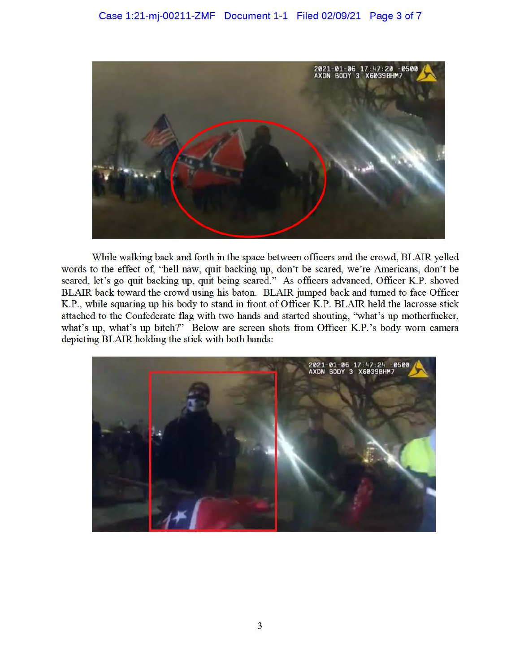

While walking back and forth in the space between officers and the crowd, BLAIR yelled words to the effect of, "hell naw, quit backing up, don't be scared, we're Americans, don't be scared, let's go quit backing up, quit being scared." As officers advanced, Officer K.P. shoved BLAIR back toward the crowd using his baton. BLAIR jumped back and turned to face Officer K.P., while squaring up his body to stand in front of Officer K.P. BLAIR held the lacrosse stick attached to the Confederate flag with two hands and started shouting, "what's up motherfucker, what's up, what's up bitch?" Below are screen shots from Officer K.P.'s body worn camera depicting BLAIR holding the stick with both hands:

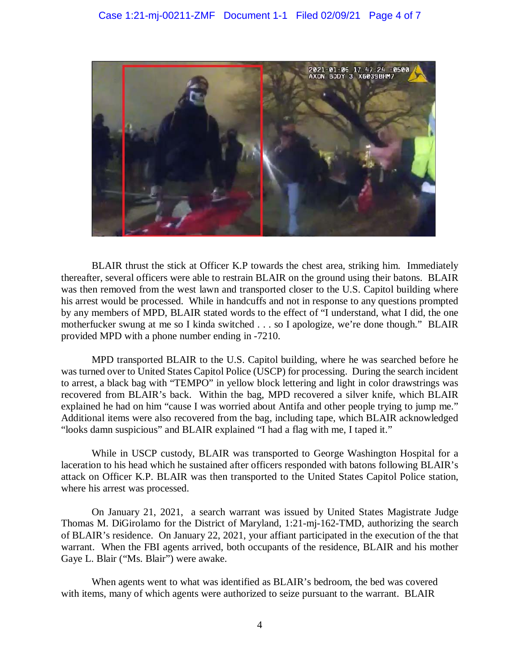

 BLAIR thrust the stick at Officer K.P towards the chest area, striking him. Immediately his arrest would be processed. While in handcuffs and not in response to any questions prompted by any members of MPD, BLAIR stated words to the effect of "I understand, what I did, the one motherfucker swung at me so I kinda switched . . . so I apologize, we're done though." BLAIR thereafter, several officers were able to restrain BLAIR on the ground using their batons. BLAIR was then removed from the west lawn and transported closer to the U.S. Capitol building where provided MPD with a phone number ending in -7210.

 MPD transported BLAIR to the U.S. Capitol building, where he was searched before he was turned over to United States Capitol Police (USCP) for processing. During the search incident recovered from BLAIR's back. Within the bag, MPD recovered a silver knife, which BLAIR explained he had on him "cause I was worried about Antifa and other people trying to jump me." "looks damn suspicious" and BLAIR explained "I had a flag with me, I taped it." to arrest, a black bag with "TEMPO" in yellow block lettering and light in color drawstrings was Additional items were also recovered from the bag, including tape, which BLAIR acknowledged

 While in USCP custody, BLAIR was transported to George Washington Hospital for a laceration to his head which he sustained after officers responded with batons following BLAIR's attack on Officer K.P. BLAIR was then transported to the United States Capitol Police station, where his arrest was processed.

 On January 21, 2021, a search warrant was issued by United States Magistrate Judge Thomas M. DiGirolamo for the District of Maryland, 1:21-mj-162-TMD, authorizing the search warrant. When the FBI agents arrived, both occupants of the residence, BLAIR and his mother of BLAIR's residence. On January 22, 2021, your affiant participated in the execution of the that Gaye L. Blair ("Ms. Blair") were awake.

 When agents went to what was identified as BLAIR's bedroom, the bed was covered with items, many of which agents were authorized to seize pursuant to the warrant. BLAIR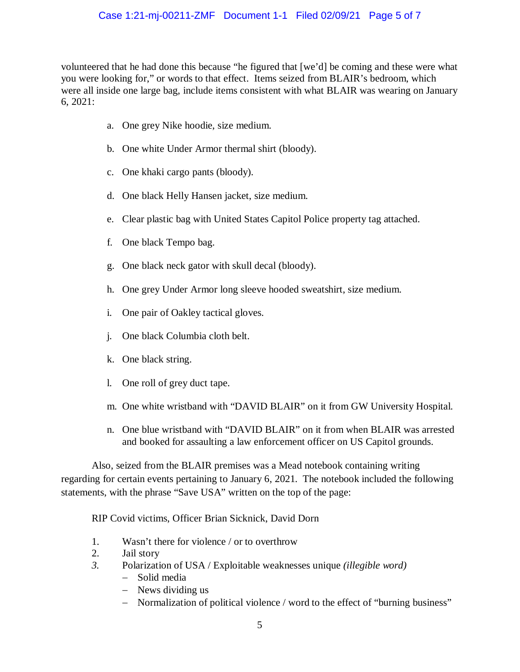volunteered that he had done this because "he figured that [we'd] be coming and these were what you were looking for," or words to that effect. Items seized from BLAIR's bedroom, which  $6, 2021:$  6, 2021: a. One grey Nike hoodie, size medium. were all inside one large bag, include items consistent with what BLAIR was wearing on January

- 
- b. One white Under Armor thermal shirt (bloody).
- c. One khaki cargo pants (bloody).
- d. One black Helly Hansen jacket, size medium.
- e. Clear plastic bag with United States Capitol Police property tag attached.
- f. One black Tempo bag.
- g. One black neck gator with skull decal (bloody).
- h. One grey Under Armor long sleeve hooded sweatshirt, size medium.
- i. One pair of Oakley tactical gloves.
- j. One black Columbia cloth belt.
- k. One black string.
- l. One roll of grey duct tape.
- m. One white wristband with "DAVID BLAIR" on it from GW University Hospital.
- and booked for assaulting a law enforcement officer on US Capitol grounds. n. One blue wristband with "DAVID BLAIR" on it from when BLAIR was arrested

 regarding for certain events pertaining to January 6, 2021. The notebook included the following Also, seized from the BLAIR premises was a Mead notebook containing writing statements, with the phrase "Save USA" written on the top of the page:

RIP Covid victims, Officer Brian Sicknick, David Dorn

- 1. Wasn't there for violence / or to overthrow
- 2. Jail story
- *3.* Polarization of USA / Exploitable weaknesses unique *(illegible word)* 
	- − Solid media
	- − News dividing us
	- − Normalization of political violence / word to the effect of "burning business"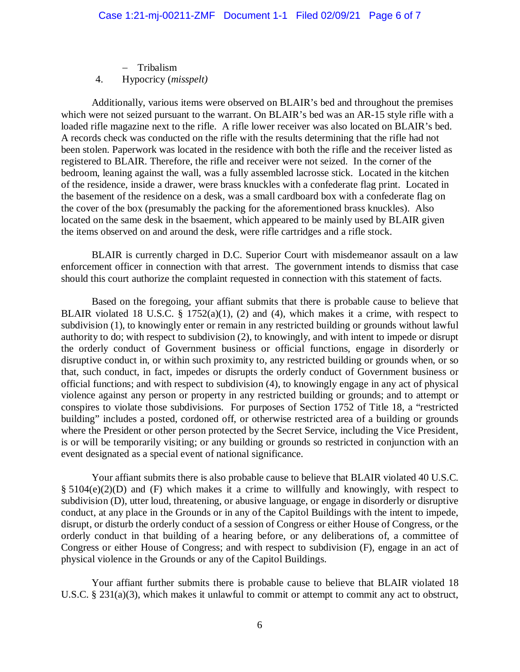− Tribalism 4. Hypocricy (*misspelt)* 

 Additionally, various items were observed on BLAIR's bed and throughout the premises loaded rifle magazine next to the rifle. A rifle lower receiver was also located on BLAIR's bed. registered to BLAIR. Therefore, the rifle and receiver were not seized. In the corner of the of the residence, inside a drawer, were brass knuckles with a confederate flag print. Located in the cover of the box (presumably the packing for the aforementioned brass knuckles). Also which were not seized pursuant to the warrant. On BLAIR's bed was an AR-15 style rifle with a A records check was conducted on the rifle with the results determining that the rifle had not been stolen. Paperwork was located in the residence with both the rifle and the receiver listed as bedroom, leaning against the wall, was a fully assembled lacrosse stick. Located in the kitchen the basement of the residence on a desk, was a small cardboard box with a confederate flag on located on the same desk in the bsaement, which appeared to be mainly used by BLAIR given the items observed on and around the desk, were rifle cartridges and a rifle stock.

 BLAIR is currently charged in D.C. Superior Court with misdemeanor assault on a law enforcement officer in connection with that arrest. The government intends to dismiss that case should this court authorize the complaint requested in connection with this statement of facts.

BLAIR violated 18 U.S.C.  $\S$  1752(a)(1), (2) and (4), which makes it a crime, with respect to subdivision (1), to knowingly enter or remain in any restricted building or grounds without lawful authority to do; with respect to subdivision (2), to knowingly, and with intent to impede or disrupt the orderly conduct of Government business or official functions, engage in disorderly or that, such conduct, in fact, impedes or disrupts the orderly conduct of Government business or conspires to violate those subdivisions. For purposes of Section 1752 of Title 18, a "restricted Based on the foregoing, your affiant submits that there is probable cause to believe that disruptive conduct in, or within such proximity to, any restricted building or grounds when, or so official functions; and with respect to subdivision (4), to knowingly engage in any act of physical violence against any person or property in any restricted building or grounds; and to attempt or building" includes a posted, cordoned off, or otherwise restricted area of a building or grounds where the President or other person protected by the Secret Service, including the Vice President, is or will be temporarily visiting; or any building or grounds so restricted in conjunction with an event designated as a special event of national significance.

 § 5104(e)(2)(D) and (F) which makes it a crime to willfully and knowingly, with respect to subdivision (D), utter loud, threatening, or abusive language, or engage in disorderly or disruptive conduct, at any place in the Grounds or in any of the Capitol Buildings with the intent to impede, disrupt, or disturb the orderly conduct of a session of Congress or either House of Congress, or the Your affiant submits there is also probable cause to believe that BLAIR violated 40 U.S.C. orderly conduct in that building of a hearing before, or any deliberations of, a committee of Congress or either House of Congress; and with respect to subdivision (F), engage in an act of physical violence in the Grounds or any of the Capitol Buildings.

 U.S.C. § 231(a)(3), which makes it unlawful to commit or attempt to commit any act to obstruct, Your affiant further submits there is probable cause to believe that BLAIR violated 18